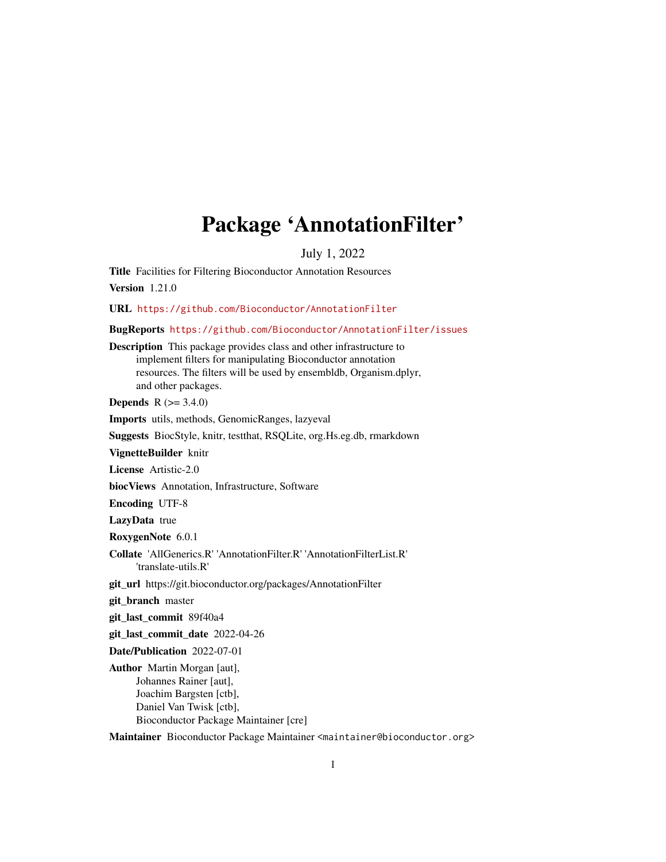## Package 'AnnotationFilter'

July 1, 2022

Title Facilities for Filtering Bioconductor Annotation Resources

Version 1.21.0

URL <https://github.com/Bioconductor/AnnotationFilter>

BugReports <https://github.com/Bioconductor/AnnotationFilter/issues>

Description This package provides class and other infrastructure to implement filters for manipulating Bioconductor annotation resources. The filters will be used by ensembldb, Organism.dplyr, and other packages.

**Depends**  $R (= 3.4.0)$ 

Imports utils, methods, GenomicRanges, lazyeval

Suggests BiocStyle, knitr, testthat, RSQLite, org.Hs.eg.db, rmarkdown

VignetteBuilder knitr

License Artistic-2.0

biocViews Annotation, Infrastructure, Software

Encoding UTF-8

LazyData true

RoxygenNote 6.0.1

Collate 'AllGenerics.R' 'AnnotationFilter.R' 'AnnotationFilterList.R' 'translate-utils.R'

git\_url https://git.bioconductor.org/packages/AnnotationFilter

git\_branch master

git\_last\_commit 89f40a4

git\_last\_commit\_date 2022-04-26

Date/Publication 2022-07-01

Author Martin Morgan [aut], Johannes Rainer [aut], Joachim Bargsten [ctb], Daniel Van Twisk [ctb], Bioconductor Package Maintainer [cre]

Maintainer Bioconductor Package Maintainer <maintainer@bioconductor.org>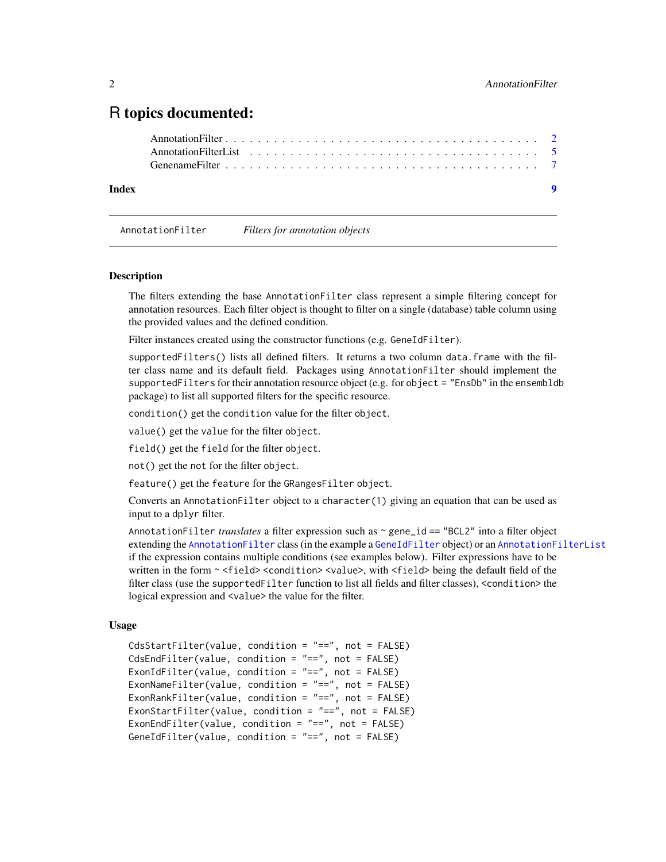## <span id="page-1-0"></span>R topics documented:

| Index | $\bullet$ |  |
|-------|-----------|--|
|       |           |  |
|       |           |  |
|       |           |  |

<span id="page-1-1"></span>AnnotationFilter *Filters for annotation objects*

#### <span id="page-1-2"></span>Description

The filters extending the base AnnotationFilter class represent a simple filtering concept for annotation resources. Each filter object is thought to filter on a single (database) table column using the provided values and the defined condition.

Filter instances created using the constructor functions (e.g. GeneIdFilter).

supportedFilters() lists all defined filters. It returns a two column data.frame with the filter class name and its default field. Packages using AnnotationFilter should implement the supportedFilters for their annotation resource object (e.g. for object = "EnsDb" in the ensembldb package) to list all supported filters for the specific resource.

condition() get the condition value for the filter object.

value() get the value for the filter object.

field() get the field for the filter object.

not() get the not for the filter object.

feature() get the feature for the GRangesFilter object.

Converts an AnnotationFilter object to a character(1) giving an equation that can be used as input to a dplyr filter.

AnnotationFilter *translates* a filter expression such as ~ gene\_id == "BCL2" into a filter object extending the [AnnotationFilter](#page-1-1) class (in the example a [GeneIdFilter](#page-1-2) object) or an [AnnotationFilterList](#page-4-1) if the expression contains multiple conditions (see examples below). Filter expressions have to be written in the form ~ <field> <condition> <value>, with <field> being the default field of the filter class (use the supportedFilter function to list all fields and filter classes), <condition> the logical expression and <value> the value for the filter.

#### Usage

```
CdsStartFilter(value, condition = "==", not = FALSE)
CdsEndFilter(value, condition = "==", not = FALSE)
ExonIdFilter(value, condition = "==", not = FALSE)
ExonNameFilter(value, condition = "==", not = FALSE)
ExonRankFilter(value, condition = "==", not = FALSE)
ExonStartFilter(value, condition = "==", not = FALSE)
ExonEndFilter(value, condition = "==", not = FALSE)
GeneIdFilter(value, condition = "==", not = FALSE)
```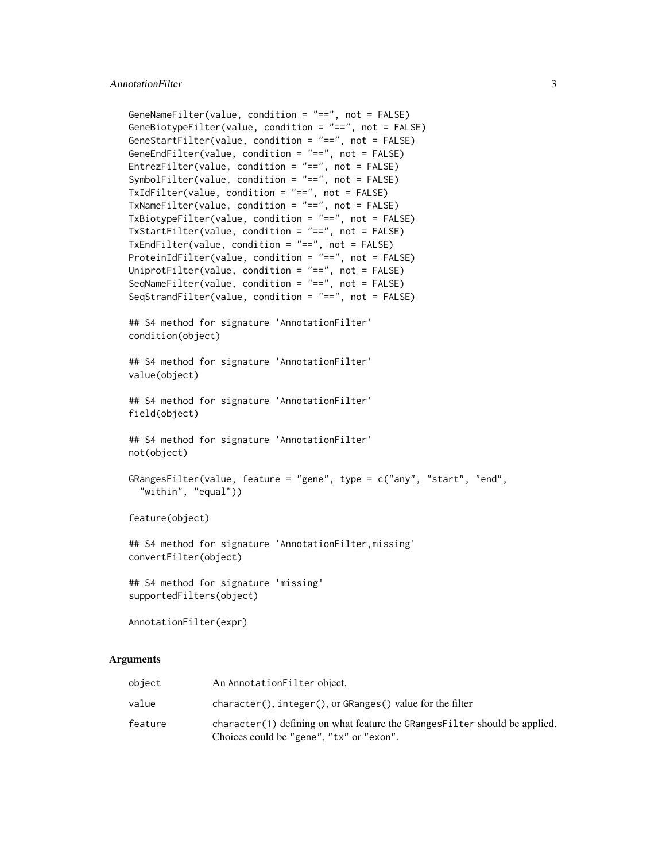```
GeneNameFilter(value, condition = "==", not = FALSE)
GeneBiotypeFilter(value, condition = "==", not = FALSE)
GeneStartFilter(value, condition = "==", not = FALSE)
GeneEndFilter(value, condition = "==", not = FALSE)
EntrezFilter(value, condition = "==", not = FALSE)
SymbolFilter(value, condition = "==", not = FALSE)
TxIdFilter(value, condition = "==", not = FALSE)TxNameFilter(value, condition = "==", not = FALSE)
TxBiotypeFilter(value, condition = "==", not = FALSE)
TxStartFilter(value, condition = "==", not = FALSE)
TxEndFilter(value, condition = "==", not = FALSE)
ProteinIdFilter(value, condition = "==", not = FALSE)
UniprotFilter(value, condition = "==", not = FALSE)
SeqNameFilter(value, condition = "==", not = FALSE)
SeqStrandFilter(value, condition = "==", not = FALSE)
## S4 method for signature 'AnnotationFilter'
condition(object)
## S4 method for signature 'AnnotationFilter'
value(object)
## S4 method for signature 'AnnotationFilter'
field(object)
## S4 method for signature 'AnnotationFilter'
not(object)
GRangesFilter(value, feature = "gene", type = c("any", "start", "end",
  "within", "equal"))
feature(object)
## S4 method for signature 'AnnotationFilter,missing'
convertFilter(object)
## S4 method for signature 'missing'
```

```
supportedFilters(object)
```
AnnotationFilter(expr)

#### Arguments

| object  | An AnnotationFilter object.                                                                                             |
|---------|-------------------------------------------------------------------------------------------------------------------------|
| value   | $character(), integer(), or GRanges() value for the filter$                                                             |
| feature | character(1) defining on what feature the GRanges Filter should be applied.<br>Choices could be "gene", "tx" or "exon". |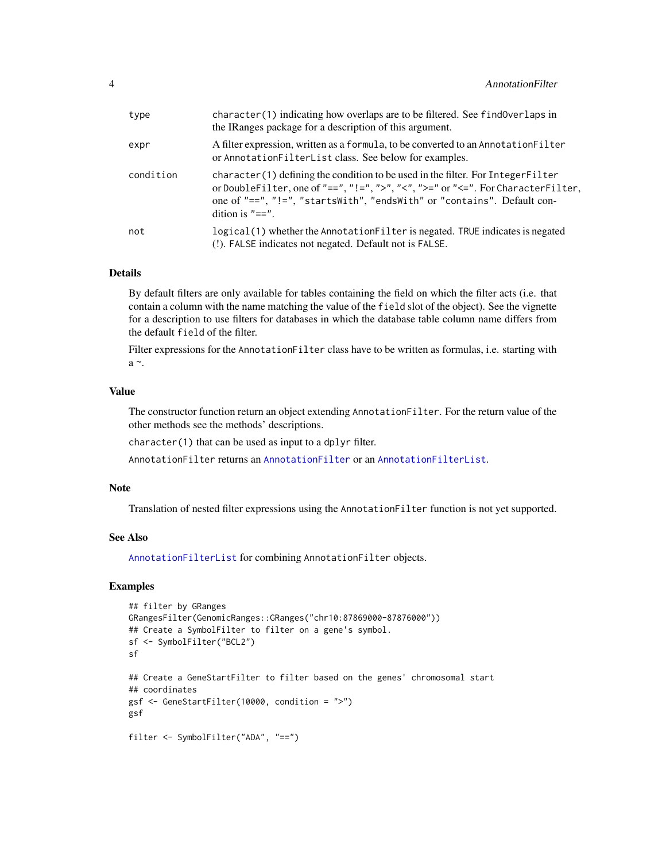<span id="page-3-0"></span>

| type      | character (1) indicating how overlaps are to be filtered. See find Overlaps in<br>the IRanges package for a description of this argument.                                                                                                                             |
|-----------|-----------------------------------------------------------------------------------------------------------------------------------------------------------------------------------------------------------------------------------------------------------------------|
| expr      | A filter expression, written as a formula, to be converted to an Annotation Filter<br>or AnnotationFilterList class. See below for examples.                                                                                                                          |
| condition | character(1) defining the condition to be used in the filter. For Integer Filter<br>or DoubleFilter, one of "==", "!=", ">", "<", ">=" or "<=". For CharacterFilter,<br>one of "==", "!=", "startsWith", "endsWith" or "contains". Default con-<br>dition is $"=="$ . |
| not       | logical(1) whether the Annotation Filter is negated. TRUE indicates is negated<br>(!). FALSE indicates not negated. Default not is FALSE.                                                                                                                             |

#### Details

By default filters are only available for tables containing the field on which the filter acts (i.e. that contain a column with the name matching the value of the field slot of the object). See the vignette for a description to use filters for databases in which the database table column name differs from the default field of the filter.

Filter expressions for the AnnotationFilter class have to be written as formulas, i.e. starting with a $\sim$ .

#### Value

The constructor function return an object extending AnnotationFilter. For the return value of the other methods see the methods' descriptions.

character(1) that can be used as input to a dplyr filter.

AnnotationFilter returns an [AnnotationFilter](#page-1-1) or an [AnnotationFilterList](#page-4-1).

#### Note

Translation of nested filter expressions using the AnnotationFilter function is not yet supported.

#### See Also

[AnnotationFilterList](#page-4-1) for combining AnnotationFilter objects.

#### Examples

```
## filter by GRanges
GRangesFilter(GenomicRanges::GRanges("chr10:87869000-87876000"))
## Create a SymbolFilter to filter on a gene's symbol.
sf <- SymbolFilter("BCL2")
sf
## Create a GeneStartFilter to filter based on the genes' chromosomal start
## coordinates
gsf <- GeneStartFilter(10000, condition = ">")
gsf
filter <- SymbolFilter("ADA", "==")
```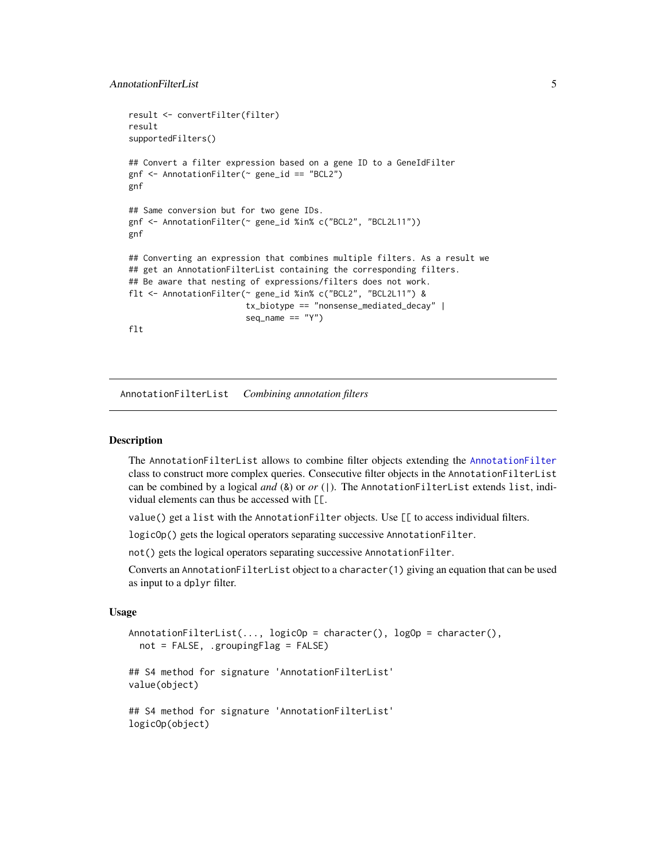```
result <- convertFilter(filter)
result
supportedFilters()
## Convert a filter expression based on a gene ID to a GeneIdFilter
gnf <- AnnotationFilter(~ gene_id == "BCL2")
gnf
## Same conversion but for two gene IDs.
gnf <- AnnotationFilter(~ gene_id %in% c("BCL2", "BCL2L11"))
gnf
## Converting an expression that combines multiple filters. As a result we
## get an AnnotationFilterList containing the corresponding filters.
## Be aware that nesting of expressions/filters does not work.
flt <- AnnotationFilter(~ gene_id %in% c("BCL2", "BCL2L11") &
                        tx_biotype == "nonsense_mediated_decay" |
                        seq_name == "Y")flt
```
<span id="page-4-1"></span>AnnotationFilterList *Combining annotation filters*

#### Description

The AnnotationFilterList allows to combine filter objects extending the [AnnotationFilter](#page-1-1) class to construct more complex queries. Consecutive filter objects in the AnnotationFilterList can be combined by a logical *and* (&) or *or* (|). The AnnotationFilterList extends list, individual elements can thus be accessed with [[.

value() get a list with the AnnotationFilter objects. Use [[ to access individual filters.

logicOp() gets the logical operators separating successive AnnotationFilter.

not() gets the logical operators separating successive AnnotationFilter.

Converts an AnnotationFilterList object to a character(1) giving an equation that can be used as input to a dplyr filter.

#### Usage

```
AnnotationFilterList(..., logicOp = character(), logOp = character(),
 not = FALSE, .groupingFlag = FALSE)
```

```
## S4 method for signature 'AnnotationFilterList'
value(object)
```

```
## S4 method for signature 'AnnotationFilterList'
logicOp(object)
```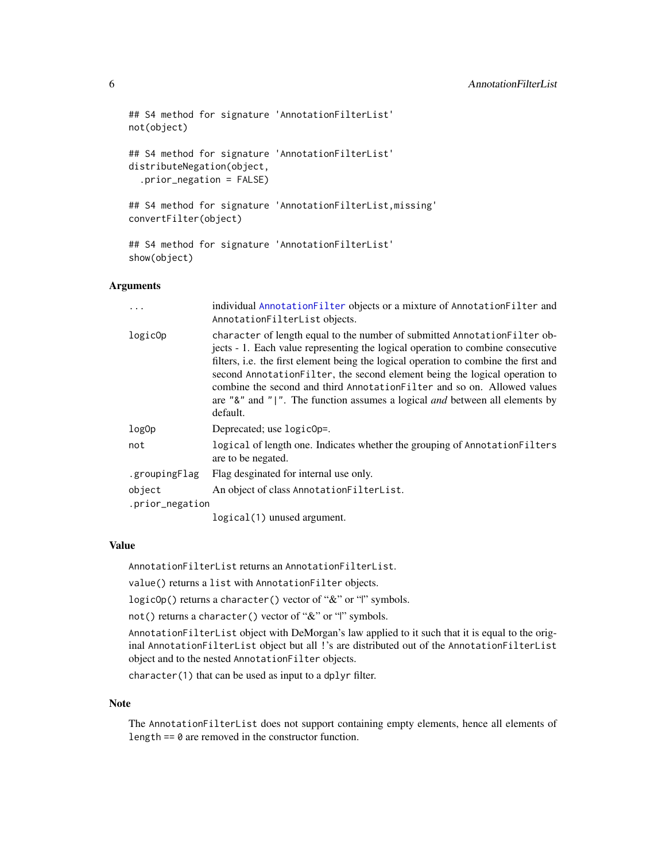```
## S4 method for signature 'AnnotationFilterList'
not(object)
## S4 method for signature 'AnnotationFilterList'
distributeNegation(object,
  .prior_negation = FALSE)
## S4 method for signature 'AnnotationFilterList,missing'
convertFilter(object)
## S4 method for signature 'AnnotationFilterList'
show(object)
```
#### Arguments

|                           | individual AnnotationFilter objects or a mixture of AnnotationFilter and<br>AnnotationFilterList objects.                                                                                                                                                                                                                                                                                                                                                                                                          |
|---------------------------|--------------------------------------------------------------------------------------------------------------------------------------------------------------------------------------------------------------------------------------------------------------------------------------------------------------------------------------------------------------------------------------------------------------------------------------------------------------------------------------------------------------------|
| logic0p                   | character of length equal to the number of submitted Annotation Filter ob-<br>jects - 1. Each value representing the logical operation to combine consecutive<br>filters, i.e. the first element being the logical operation to combine the first and<br>second Annotation Filter, the second element being the logical operation to<br>combine the second and third Annotation Filter and so on. Allowed values<br>are "&" and " ". The function assumes a logical <i>and</i> between all elements by<br>default. |
| log0p                     | Deprecated; use logic0p=.                                                                                                                                                                                                                                                                                                                                                                                                                                                                                          |
| not                       | logical of length one. Indicates whether the grouping of Annotation Filters<br>are to be negated.                                                                                                                                                                                                                                                                                                                                                                                                                  |
| .groupingFlag             | Flag desginated for internal use only.                                                                                                                                                                                                                                                                                                                                                                                                                                                                             |
| object<br>.prior_negation | An object of class Annotation FilterList.                                                                                                                                                                                                                                                                                                                                                                                                                                                                          |
|                           | $logical(1)$ unused argument.                                                                                                                                                                                                                                                                                                                                                                                                                                                                                      |

#### Value

AnnotationFilterList returns an AnnotationFilterList.

value() returns a list with AnnotationFilter objects.

logicOp() returns a character() vector of "&" or "|" symbols.

not() returns a character() vector of "&" or "|" symbols.

AnnotationFilterList object with DeMorgan's law applied to it such that it is equal to the original AnnotationFilterList object but all !'s are distributed out of the AnnotationFilterList object and to the nested AnnotationFilter objects.

character(1) that can be used as input to a dplyr filter.

#### Note

The AnnotationFilterList does not support containing empty elements, hence all elements of length  $== 0$  are removed in the constructor function.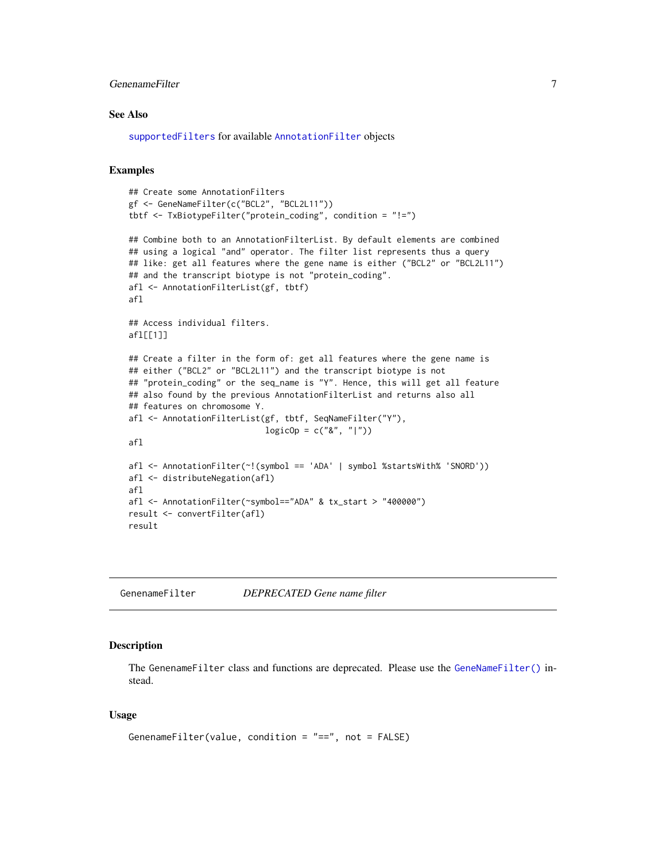#### <span id="page-6-0"></span>GenenameFilter 7

#### See Also

[supportedFilters](#page-1-2) for available [AnnotationFilter](#page-1-1) objects

#### Examples

```
## Create some AnnotationFilters
gf <- GeneNameFilter(c("BCL2", "BCL2L11"))
tbtf <- TxBiotypeFilter("protein_coding", condition = "!=")
## Combine both to an AnnotationFilterList. By default elements are combined
## using a logical "and" operator. The filter list represents thus a query
## like: get all features where the gene name is either ("BCL2" or "BCL2L11")
## and the transcript biotype is not "protein_coding".
afl <- AnnotationFilterList(gf, tbtf)
afl
## Access individual filters.
afl[[1]]
## Create a filter in the form of: get all features where the gene name is
## either ("BCL2" or "BCL2L11") and the transcript biotype is not
## "protein_coding" or the seq_name is "Y". Hence, this will get all feature
## also found by the previous AnnotationFilterList and returns also all
## features on chromosome Y.
afl <- AnnotationFilterList(gf, tbtf, SeqNameFilter("Y"),
                            logicOp = c("&", "|")afl
afl <- AnnotationFilter(~!(symbol == 'ADA' | symbol %startsWith% 'SNORD'))
afl <- distributeNegation(afl)
afl
afl <- AnnotationFilter(~symbol=="ADA" & tx_start > "400000")
result <- convertFilter(afl)
result
```
GenenameFilter *DEPRECATED Gene name filter*

#### Description

The GenenameFilter class and functions are deprecated. Please use the [GeneNameFilter\(\)](#page-1-2) instead.

#### Usage

```
GenenameFilter(value, condition = "==", not = FALSE)
```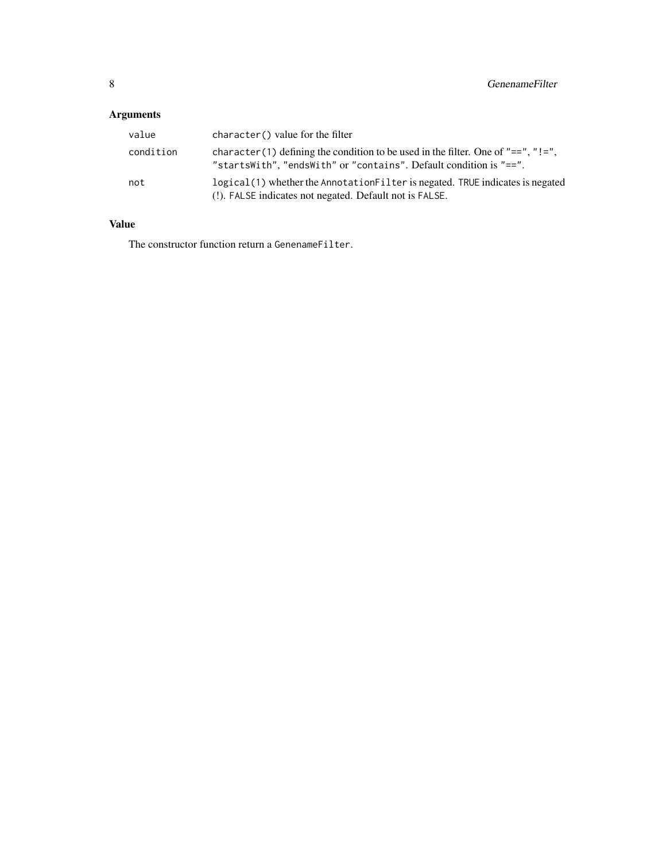## Arguments

| value     | character() value for the filter                                                                                                                        |
|-----------|---------------------------------------------------------------------------------------------------------------------------------------------------------|
| condition | character (1) defining the condition to be used in the filter. One of "==", "!=",<br>"startsWith", "endsWith" or "contains". Default condition is "==". |
| not       | logical(1) whether the Annotation Filter is negated. TRUE indicates is negated<br>(!). FALSE indicates not negated. Default not is FALSE.               |

### Value

The constructor function return a GenenameFilter.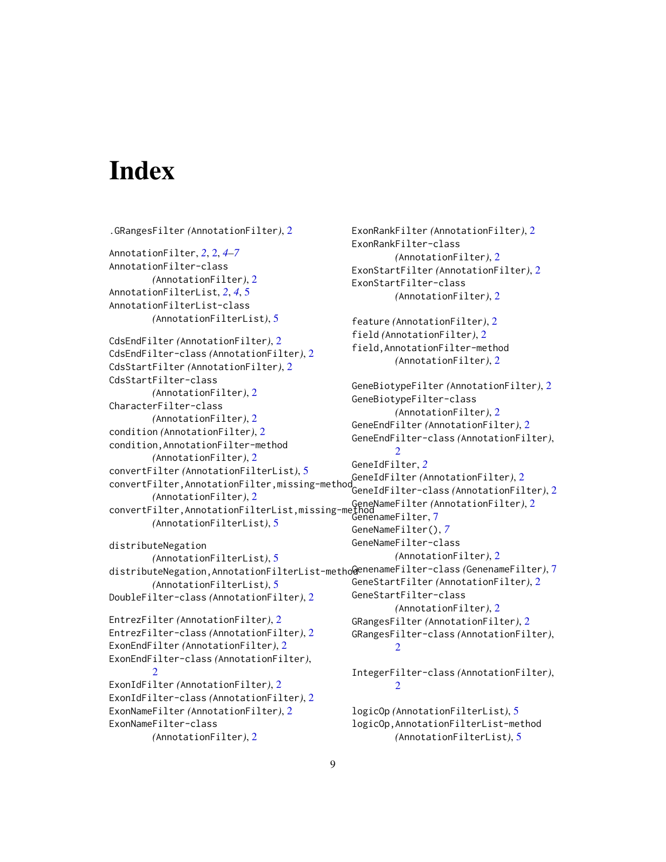# <span id="page-8-0"></span>**Index**

```
.GRangesFilter (AnnotationFilter), 2
AnnotationFilter, 2, 2, 4–7
AnnotationFilter-class
        (AnnotationFilter), 2
AnnotationFilterList, 2, 4, 5
AnnotationFilterList-class
        (AnnotationFilterList), 5
CdsEndFilter (AnnotationFilter), 2
CdsEndFilter-class (AnnotationFilter), 2
CdsStartFilter (AnnotationFilter), 2
CdsStartFilter-class
        (AnnotationFilter), 2
CharacterFilter-class
        (AnnotationFilter), 2
condition (AnnotationFilter), 2
condition,AnnotationFilter-method
        (AnnotationFilter), 2
convertFilter (AnnotationFilterList), 5
convertFilter,AnnotationFilter,missing-method
GeneIdFilter (AnnotationFilter), 2
        (AnnotationFilter), 2
convertFilter,AnnotationFilterList,missing-method
GeneNameFilter (AnnotationFilter), 2
        (AnnotationFilterList), 5
distributeNegation
        (AnnotationFilterList), 5
distributeNegation,AnnotationFilterList-method
GenenameFilter-class (GenenameFilter), 7
        (AnnotationFilterList), 5
DoubleFilter-class (AnnotationFilter), 2
EntrezFilter (AnnotationFilter), 2
EntrezFilter-class (AnnotationFilter), 2
ExonEndFilter (AnnotationFilter), 2
ExonEndFilter-class (AnnotationFilter),
        2
ExonIdFilter (AnnotationFilter), 2
ExonIdFilter-class (AnnotationFilter), 2
ExonNameFilter (AnnotationFilter), 2
ExonNameFilter-class
        (AnnotationFilter), 2
                                                        2
                                                        2
                                                         \mathfrak{D}logicOp,AnnotationFilterList-method
```

```
ExonRankFilter (AnnotationFilter), 2
ExonRankFilter-class
        (AnnotationFilter), 2
ExonStartFilter (AnnotationFilter), 2
ExonStartFilter-class
        (AnnotationFilter), 2
feature (AnnotationFilter), 2
field (AnnotationFilter), 2
field,AnnotationFilter-method
        (AnnotationFilter), 2
GeneBiotypeFilter (AnnotationFilter), 2
GeneBiotypeFilter-class
        (AnnotationFilter), 2
GeneEndFilter (AnnotationFilter), 2
GeneEndFilter-class (AnnotationFilter),
GeneIdFilter, 2
GeneIdFilter-class (AnnotationFilter), 2
GenenameFilter, 7
GeneNameFilter(), 7
GeneNameFilter-class
        (AnnotationFilter), 2
GeneStartFilter (AnnotationFilter), 2
GeneStartFilter-class
        (AnnotationFilter), 2
GRangesFilter (AnnotationFilter), 2
GRangesFilter-class (AnnotationFilter),
IntegerFilter-class (AnnotationFilter),
logicOp (AnnotationFilterList), 5
```
*(*AnnotationFilterList*)*, [5](#page-4-0)